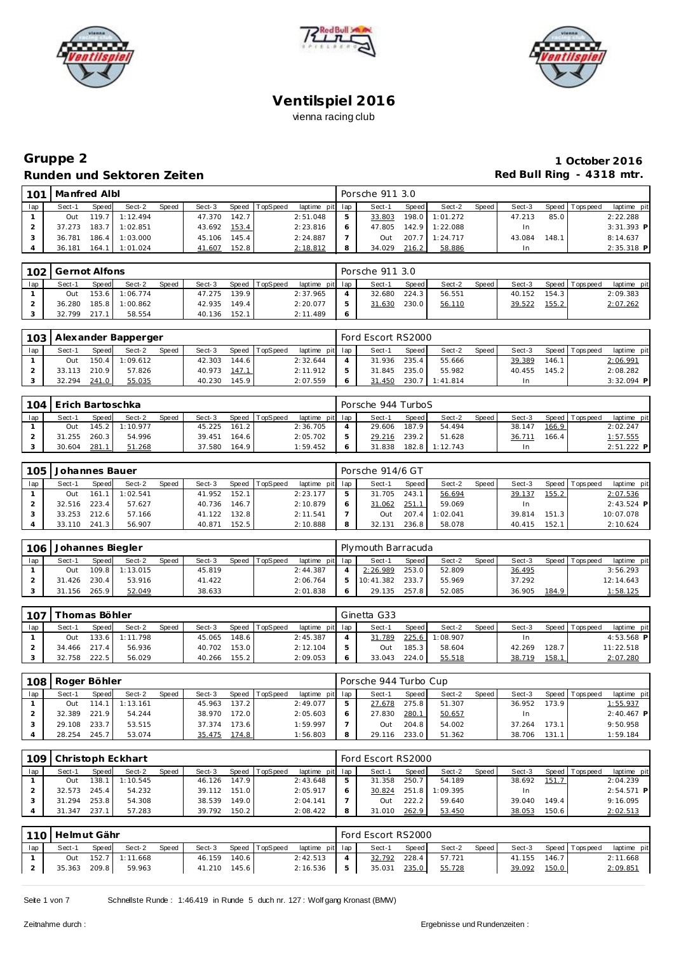





## **Gruppe 2 1 October 2016 Runden und Sektoren Zeiten Red Bull Ring - 4318 mtr.**

| 101 | Manfred Albl |       |          |       |        |       |                |                 | Porsche 911 3.0 |              |                |       |        |       |                 |              |
|-----|--------------|-------|----------|-------|--------|-------|----------------|-----------------|-----------------|--------------|----------------|-------|--------|-------|-----------------|--------------|
| lap | Sect-1       | Speed | Sect-2   | Speed | Sect-3 |       | Speed TopSpeed | laptime pit lap | Sect-1          | <b>Speed</b> | Sect-2         | Speed | Sect-3 |       | Speed Tops peed | laptime pit  |
|     | Out          | 119.7 | 1:12.494 |       | 47.370 | 142.7 |                | 2:51.048        | 33.803          |              | 198.0 1:01.272 |       | 47.213 | 85.0  |                 | 2:22.288     |
|     | 37.273       | 183.7 | 1:02.851 |       | 43.692 | 153.4 |                | 2:23.816        | 47.805          |              | 142.9 1:22.088 |       | In     |       |                 | $3:31.393$ P |
|     | 36.781       | 186.4 | 1:03.000 |       | 45.106 | 145.4 |                | 2:24.887        | Out             | 207.7        | 1:24.717       |       | 43.084 | 148.1 |                 | 8:14.637     |
|     | 36.181       | 164.1 | 1:01.024 |       | 41.607 | 152.8 |                | 2:18.812        | 34.029          | 216.2        | 58.886         |       | In     |       |                 | $2:35.318$ P |

|     | 102 Gernot Alfons |              |                |       |        |       |                |                 | Porsche 911 3.0 |       |        |       |        |       |                   |             |
|-----|-------------------|--------------|----------------|-------|--------|-------|----------------|-----------------|-----------------|-------|--------|-------|--------|-------|-------------------|-------------|
| lap | Sect-1            | <b>Speed</b> | Sect-2         | Speed | Sect-3 |       | Speed TopSpeed | laptime pit lap | Sect-1          | Speed | Sect-2 | Speed | Sect-3 |       | Speed   Tops peed | laptime pit |
|     | Out               |              | 153.6 1:06.774 |       | 47.275 | 139.9 |                | 2:37.965        | 32.680          | 224.3 | 56.551 |       | 40.152 | 154.3 |                   | 2:09.383    |
|     | 36.280            |              | 185.8 1:00.862 |       | 42.935 | 149.4 |                | 2:20.077        | 31.630          | 230.0 | 56.110 |       | 39.522 | 155.2 |                   | 2:07.262    |
|     | 32.799            | 217.1        | 58.554         |       | 40.136 | 152.1 |                | 2:11.489        |                 |       |        |       |        |       |                   |             |

|     |        |              | 103   Alexander Bapperger |              |        |       |          |                 | Ford Escort RS2000 |              |          |       |        |       |                |              |
|-----|--------|--------------|---------------------------|--------------|--------|-------|----------|-----------------|--------------------|--------------|----------|-------|--------|-------|----------------|--------------|
| lap | Sect-1 | <b>Speed</b> | Sect-2                    | <b>Speed</b> | Sect-3 | Speed | TopSpeed | laptime pit lap | Sect-1             | <b>Speed</b> | Sect-2   | Speed | Sect-3 |       | Speed Topspeed | laptime pit  |
|     | Out    | 150.4        | 1:09.612                  |              | 42.303 | 144.6 |          | 2:32.644        | 31.936             | 235.4        | 55.666   |       | 39.389 | 146.1 |                | 2:06.991     |
|     | 33.113 | 210.9        | 57.826                    |              | 40.973 | 147.1 |          | 2:11.912        | 31.845             | 235.0        | 55.982   |       | 40.455 | 145.2 |                | 2:08.282     |
|     | 32.294 | 241.0        | 55.035                    |              | 40.230 | 145.9 |          | 2:07.559        | 31.450             | 230.7        | 1:41.814 |       | ln.    |       |                | $3:32.094$ P |

| 104 | Erich Bartoschka |       |          |              |        |       |                |                 | Porsche 944 TurboS |              |          |       |        |       |                |              |
|-----|------------------|-------|----------|--------------|--------|-------|----------------|-----------------|--------------------|--------------|----------|-------|--------|-------|----------------|--------------|
| lap | Sect-1           | Speed | Sect-2   | <b>Speed</b> | Sect-3 |       | Speed TopSpeed | laptime pit lap | Sect-1             | <b>Speed</b> | Sect-2   | Speed | Sect-3 |       | Speed Topspeed | laptime pit  |
|     | Out              | 145.2 | 1:10.977 |              | 45.225 | 161.2 |                | 2:36.705        | 29.606             | 187.9        | 54.494   |       | 38.147 | 166.9 |                | 2:02.247     |
|     | 31.255           | 260.3 | 54.996   |              | 39.451 | 164.6 |                | 2:05.702        | 29.216             | 239.2        | 51.628   |       | 36.711 | 166.4 |                | 1:57.555     |
|     | 30.604           | 281.1 | 51.268   |              | 37.580 | 164.9 |                | 1:59.452        | 31.838             | 182.8        | 1:12.743 |       | In     |       |                | $2:51.222$ P |

| 105 | Johannes Bauer |       |          |              |        |       |          |                 |   | Porsche 914/6 GT |              |          |       |        |       |                |              |
|-----|----------------|-------|----------|--------------|--------|-------|----------|-----------------|---|------------------|--------------|----------|-------|--------|-------|----------------|--------------|
| lap | Sect-1         | Speed | Sect-2   | <b>Speed</b> | Sect-3 | Speed | TopSpeed | laptime pit lap |   | Sect-1           | <b>Speed</b> | Sect-2   | Speed | Sect-3 |       | Speed Topspeed | laptime pit  |
|     | Out            | 161   | 1:02.541 |              | 41.952 | 152.1 |          | 2:23.177        |   | 31.705           | 243.1        | 56.694   |       | 39.137 | 155.2 |                | 2:07.536     |
|     | 32.516         | 223.4 | 57.627   |              | 40.736 | 146.7 |          | 2:10.879        |   | 31.062           | 251.1        | 59.069   |       | In     |       |                | $2:43.524$ P |
|     | 33.253         | 212.6 | 57.166   |              | 41.122 | 132.8 |          | 2:11.541        |   | Dut              | 207.4        | 1:02.041 |       | 39.814 | 151.3 |                | 10:07.078    |
|     | 33.110         | 241   | 56.907   |              | 40.871 | 152.5 |          | 2:10.888        | 8 | 32.131           | 236.8        | 58.078   |       | 40.415 | 152.1 |                | 2:10.624     |

| 106 | Johannes Biegler |       |                |       |        |       |          |                 | Plymouth Barracuda |        |        |       |        |       |                |             |
|-----|------------------|-------|----------------|-------|--------|-------|----------|-----------------|--------------------|--------|--------|-------|--------|-------|----------------|-------------|
|     | Sect-1           | Speed | Sect-2         | Speed | Sect-3 | Speed | TopSpeed | laptime pit lap | Sect-1             | Speed. | Sect-2 | Speed | Sect-3 |       | Speed Topspeed | laptime pit |
|     | Out              |       | 109.8 1:13.015 |       | 45.819 |       |          | 2:44.387        | 2:26.989           | 253.0  | 52.809 |       | 36.495 |       |                | 3:56.293    |
|     | 31.426           | 230.4 | 53.916         |       | 41.422 |       |          | 2:06.764        | 10:41.382          | 233.7  | 55.969 |       | 37.292 |       |                | 12:14.643   |
|     | 31.156           | 265.9 | 52.049         |       | 38.633 |       |          | 2:01.838        | 29.135             | 257.8  | 52.085 |       | 36.905 | 184.9 |                | 1:58.125    |

| 107 |        | [homas Böhler |          |       |        |       |          |                 | Ginetta G33 |       |          |       |        |       |                 |              |
|-----|--------|---------------|----------|-------|--------|-------|----------|-----------------|-------------|-------|----------|-------|--------|-------|-----------------|--------------|
| lap | Sect-1 | <b>Speed</b>  | Sect-2   | Speed | Sect-3 | Speed | TopSpeed | laptime pit lap | Sect-1      | Speed | Sect-2   | Speed | Sect-3 |       | Speed Tops peed | laptime pit  |
|     | Out    | 133.6         | 1:11.798 |       | 45.065 | 148.6 |          | 2:45.387        | 31.789      | 225.6 | 1:08.907 |       |        |       |                 | $4:53.568$ P |
|     |        | 34.466 217.4  | 56.936   |       | 40.702 | 153.0 |          | 2:12.104        | Out         | 185.3 | 58.604   |       | 42.269 | 128.7 |                 | 11:22.518    |
|     | 32.758 | 222.5         | 56.029   |       | 40.266 | 155.2 |          | 2:09.053        | 33.043      | 224.0 | 55.518   |       | 38.719 | 158.1 |                 | 2:07.280     |

| 108 | Roger Böhler |       |          |              |        |       |          |                 |   | Porsche 944 Turbo Cup |       |        |       |        |       |                 |              |
|-----|--------------|-------|----------|--------------|--------|-------|----------|-----------------|---|-----------------------|-------|--------|-------|--------|-------|-----------------|--------------|
| lap | Sect-1       | Speed | Sect-2   | <b>Speed</b> | Sect-3 | Speed | TopSpeed | laptime pit lap |   | Sect-1                | Speed | Sect-2 | Speed | Sect-3 |       | Speed Tops peed | laptime pit  |
|     | Out          | 114.1 | 1:13.161 |              | 45.963 | 137.2 |          | 2:49.077        |   | 27.678                | 275.8 | 51.307 |       | 36.952 | 173.9 |                 | 1:55.937     |
|     | 32.389       | 221.9 | 54.244   |              | 38.970 | 172.0 |          | 2:05.603        | Ô | 27.830                | 280.1 | 50.657 |       | In     |       |                 | $2:40.467$ P |
|     | 29.108       | 233.7 | 53.515   |              | 37.374 | 173.6 |          | 1:59.997        |   | Out                   | 204.8 | 54.002 |       | 37.264 | 173.1 |                 | 9:50.958     |
|     | 28.254       | 245.7 | 53.074   |              | 35.475 | 174.8 |          | 1:56.803        | 8 | 29.116                | 233.0 | 51.362 |       | 38.706 | 131.1 |                 | 1:59.184     |

| 109 |        |       | Christoph Eckhart |       |        |       |          |                 | Ford Escort RS2000 |         |          |       |        |       |                 |              |
|-----|--------|-------|-------------------|-------|--------|-------|----------|-----------------|--------------------|---------|----------|-------|--------|-------|-----------------|--------------|
| lap | Sect-1 | Speed | Sect-2            | Speed | Sect-3 | Speed | TopSpeed | laptime pit lap | Sect-1             | Speed I | Sect-2   | Speed | Sect-3 |       | Speed Tops peed | laptime pit  |
|     | Out    | 138.  | 1:10.545          |       | 46.126 | 147.9 |          | 2:43.648        | 31.358             | 250.7   | 54.189   |       | 38.692 | 151.7 |                 | 2:04.239     |
|     | 32.573 | 245.4 | 54.232            |       | 39.112 | 151.0 |          | 2:05.917        | 30.824             | 251.8   | 1:09.395 |       | In.    |       |                 | $2:54.571$ P |
|     | 31.294 | 253.8 | 54.308            |       | 38.539 | 149.0 |          | 2:04.141        | Out                | 222.2   | 59.640   |       | 39.040 | 149.4 |                 | 9:16.095     |
|     | 31.347 | 237   | 57.283            |       | 39.792 | 150.2 |          | 2:08.422        | 31.010             | 262.9   | 53.450   |       | 38.053 | 150.6 |                 | 2:02.513     |

|     | l 110   Helmut Gähr |       |                |       |        |       |                |                 |     | Ford Escort RS2000 |         |        |       |        |       |                |             |
|-----|---------------------|-------|----------------|-------|--------|-------|----------------|-----------------|-----|--------------------|---------|--------|-------|--------|-------|----------------|-------------|
| lap | Sect-1              | Speed | Sect-2         | Speed | Sect-3 |       | Speed TopSpeed | laptime pit lap |     | Sect-1             | Speed I | Sect-2 | Speed | Sect-3 |       | Speed Topspeed | laptime pit |
|     | Out                 |       | 152.7 1:11.668 |       | 46.159 | 140.6 |                | 2:42.513        |     | 32.792             | 228.4   | 57.721 |       | 41.155 | 146.7 |                | 2:11.668    |
|     | 35.363 209.8        |       | 59.963         |       | 41.210 | 145.6 |                | 2:16.536        | - 5 | 35.031             | 235.0   | 55.728 |       | 39.092 | 150.0 |                | 2:09.851    |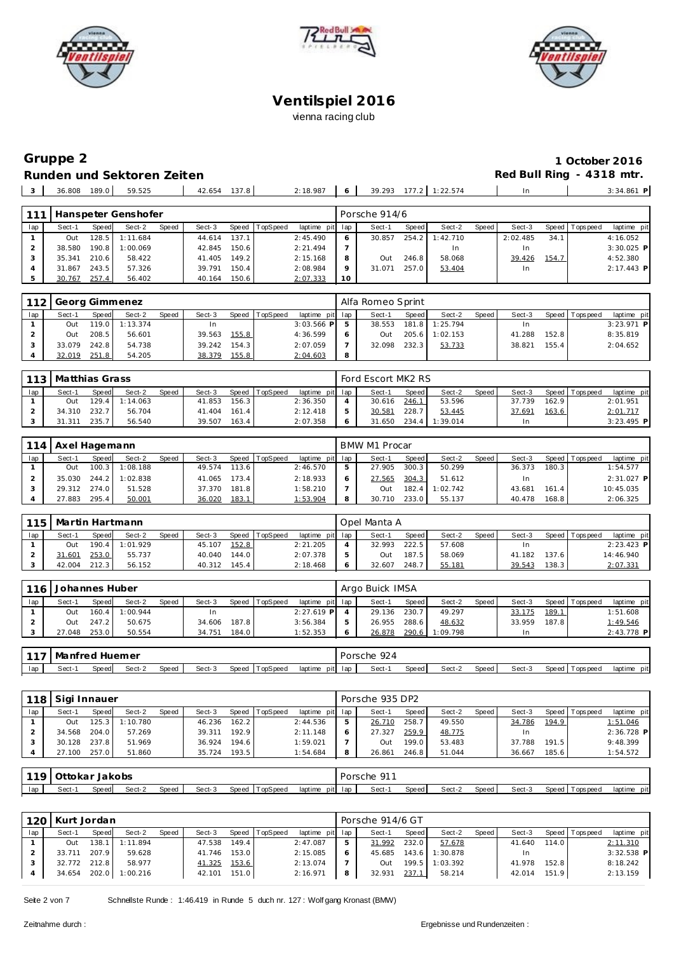





## **Gruppe 2 1 October 2016 Runden und Sektoren Zeiten**

| 189.0<br>36.808 | 59.525 | $\sim$ $\sim$<br>42.654<br>.<br>. | 2:18.987 | . . | 177<br>30<br>20.3<br>J / . 4 / J | 22.574<br>. <i>.</i> | In | 3:34.861 |
|-----------------|--------|-----------------------------------|----------|-----|----------------------------------|----------------------|----|----------|
|                 |        |                                   |          |     |                                  |                      |    |          |

| 111 |        |       | Hanspeter Genshofer |       |        |       |          |                 |           | Porsche 914/6 |       |          |       |          |       |            |              |
|-----|--------|-------|---------------------|-------|--------|-------|----------|-----------------|-----------|---------------|-------|----------|-------|----------|-------|------------|--------------|
| lap | Sect-1 | Speed | Sect-2              | Speed | Sect-3 | Speed | TopSpeed | laptime pit lap |           | Sect-1        | Speed | Sect-2   | Speed | Sect-3   | Speed | T ops peed | laptime pit  |
|     | Out    | 128.5 | 1:11.684            |       | 44.614 | 137.1 |          | 2:45.490        |           | 30.857        | 254.2 | 1:42.710 |       | 2:02.485 | 34.1  |            | 4:16.052     |
|     | 38.580 | 190.8 | 1:00.069            |       | 42.845 | 150.6 |          | 2:21.494        |           |               |       | In.      |       | In       |       |            | $3:30.025$ P |
|     | 35.341 | 210.6 | 58.422              |       | 41.405 | 149.2 |          | 2:15.168        |           | . ut          | 246.8 | 58.068   |       | 39.426   | 154.7 |            | 4:52.380     |
|     | 31.867 | 243.5 | 57.326              |       | 39.791 | 150.4 |          | 2:08.984        |           | 31.071        | 257.0 | 53.404   |       | In       |       |            | $2:17.443$ P |
|     | 30.767 | 257.4 | 56.402              |       | 40.164 | 150.6 |          | 2:07.333        | <b>10</b> |               |       |          |       |          |       |            |              |

| 112 |        |       | Georg Gimmenez   |       |        |       |                |                 | Alfa Romeo Sprint |         |          |       |        |       |                 |              |
|-----|--------|-------|------------------|-------|--------|-------|----------------|-----------------|-------------------|---------|----------|-------|--------|-------|-----------------|--------------|
| lap | Sect-1 | Speed | Sect-2           | Speed | Sect-3 |       | Speed TopSpeed | laptime pit lap | Sect-1            | Speed I | Sect-2   | Speed | Sect-3 |       | Speed Tops peed | laptime pit  |
|     | Out    |       | $119.0$ 1:13.374 |       |        |       |                | $3:03.566$ PI   | 38.553            | 181.8   | 1:25.794 |       |        |       |                 | $3:23.971$ P |
|     | Out    | 208.5 | 56.601           |       | 39.563 | 155.8 |                | 4:36.599        | <b>Out</b>        | 205.6 l | 1:02.153 |       | 41.288 | 152.8 |                 | 8:35.819     |
|     | 33.079 | 242.8 | 54.738           |       | 39.242 | 154.3 |                | 2:07.059        | 32.098            | 232.3   | 53.733   |       | 38.821 | 155.4 |                 | 2:04.652     |
|     | 32.019 | 251.8 | 54.205           |       | 38.379 | 155.8 |                | 2:04.603        |                   |         |          |       |        |       |                 |              |

| 113 | Matthias Grass |       |                  |       |        |       |                |                 | Ford Escort MK2 RS |       |          |         |        |       |                   |              |
|-----|----------------|-------|------------------|-------|--------|-------|----------------|-----------------|--------------------|-------|----------|---------|--------|-------|-------------------|--------------|
| lap | Sect-1         | Speed | Sect-2           | Speed | Sect-3 |       | Speed TopSpeed | laptime pit lap | Sect-1             | Speed | Sect-2   | Speed I | Sect-3 |       | Speed   Tops peed | laptime pit  |
|     | Out            |       | $129.4$ 1:14.063 |       | 41.853 | 156.3 |                | 2:36.350        | 30.616             | 246.1 | 53.596   |         | 37.739 | 162.9 |                   | 2:01.951     |
|     | 34.310         | 232.7 | 56.704           |       | 41.404 | 161.4 |                | 2:12.418        | 30.581             | 228.7 | 53.445   |         | 37.691 | 163.6 |                   | 2:01.717     |
|     | .311           | 235.7 | 56.540           |       | 39.507 | 163.4 |                | 2:07.358        | 31.650             | 234.4 | 1:39.014 |         |        |       |                   | $3:23.495$ P |

| 114 | Axel Hagemann |       |          |       |        |       |          |                 |   | BMW M1 Procar |       |          |         |        |       |                 |             |  |
|-----|---------------|-------|----------|-------|--------|-------|----------|-----------------|---|---------------|-------|----------|---------|--------|-------|-----------------|-------------|--|
| lap | Sect-1        | Speed | Sect-2   | Speed | Sect-3 | Speed | TopSpeed | laptime pit lap |   | Sect-1        | Speed | Sect-2   | Speed I | Sect-3 |       | Speed Tops peed | laptime pit |  |
|     | Out           | 100.3 | 1:08.188 |       | 49.574 | 113.6 |          | 2:46.570        | ь | 27.905        | 300.3 | 50.299   |         | 36.373 | 180.3 |                 | 1:54.577    |  |
|     | 35.030        | 244.2 | 1:02.838 |       | 41.065 | 173.4 |          | 2:18.933        | 6 | 27.565        | 304.3 | 51.612   |         | In.    |       |                 | 2:31.027 P  |  |
|     | 29.312 274.0  |       | 51.528   |       | 37.370 | 181.8 |          | 1:58.210        |   | 1uO           | 182.4 | 1:02.742 |         | 43.681 | 161.4 |                 | 10:45.035   |  |
|     | 27.883        | 295.4 | 50.001   |       | 36.020 | 183.1 |          | 1:53.904        | 8 | 30.710        | 233.0 | 55.137   |         | 40.478 | 168.8 |                 | 2:06.325    |  |

| 115 |        |       | Martin Hartmann |       |        |       |                |                 |   | Opel Manta A |              |        |       |        |       |                 |              |
|-----|--------|-------|-----------------|-------|--------|-------|----------------|-----------------|---|--------------|--------------|--------|-------|--------|-------|-----------------|--------------|
| lap | Sect-1 | Speed | Sect-2          | Speed | Sect-3 |       | Speed TopSpeed | laptime pit lap |   | Sect-1       | <b>Speed</b> | Sect-2 | Speed | Sect-3 |       | Speed Tops peed | laptime pit  |
|     | Out    |       | 190.4 1:01.929  |       | 45.107 | 152.8 |                | 2:21.205        |   | 32.993       | 222.5        | 57.608 |       | In     |       |                 | $2:23.423$ P |
|     | 31.601 | 253.0 | 55.737          |       | 40.040 | 144.0 |                | 2:07.378        |   | Out          | 187.5        | 58.069 |       | 41.182 | 137.6 |                 | 14:46.940    |
|     | 42.004 | 212.3 | 56.152          |       | 40.312 | 145.4 |                | 2:18.468        | 6 | 32.607       | 248.7        | 55.181 |       | 39.543 | 138.3 |                 | 2:07.331     |

| 116 | Johannes Huber |       |                |       |        |       |                |                 |               | Argo Buick IMSA |       |                |       |        |       |                |             |
|-----|----------------|-------|----------------|-------|--------|-------|----------------|-----------------|---------------|-----------------|-------|----------------|-------|--------|-------|----------------|-------------|
| lap | Sect-1         | Speed | Sect-2         | Speed | Sect-3 |       | Speed TopSpeed | laptime pit lap |               | Sect-1          | Speed | Sect-2         | Speed | Sect-3 |       | Speed Topspeed | laptime pit |
|     | Out            |       | 160.4 1:00.944 |       | 1n     |       |                | $2:27.619$ P 4  |               | 29.136          | 230.7 | 49.297         |       | 33.175 | 189.1 |                | 1:51.608    |
|     | Out            | 247.2 | 50.675         |       | 34.606 | 187.8 |                | 3:56.384        | $\mathcal{P}$ | 26.955          | 288.6 | 48.632         |       | 33.959 | 187.8 |                | 1:49.546    |
|     | 27.048         | 253.0 | 50.554         |       | 34.751 | 184.0 |                | 1:52.353        | $\circ$       | 26.878          |       | 290.6 1:09.798 |       | In     |       |                | 2:43.778 P  |

| 117 | Manfred Huemer |        |        |       |        |                   |         |         | 924<br>Porsche<br>and the control of the con- |       |        |       |        |                               |             |
|-----|----------------|--------|--------|-------|--------|-------------------|---------|---------|-----------------------------------------------|-------|--------|-------|--------|-------------------------------|-------------|
| lap | Sect-          | Speed. | Sect-2 | Speed | Sect-3 | TopSpeed<br>Speed | laptime | pit lap | Sect-                                         | Speed | Sect-2 | Speed | Sect-3 | Speed  <br><b>T</b> ops pee d | laptime pit |

| 118 | Sigi Innauer |              |          |       |        |       |                  |                 | Porsche 935 DP2 |       |        |       |        |       |                |              |
|-----|--------------|--------------|----------|-------|--------|-------|------------------|-----------------|-----------------|-------|--------|-------|--------|-------|----------------|--------------|
| lap | Sect-1       | <b>Speed</b> | Sect-2   | Speed | Sect-3 |       | Speed   TopSpeed | laptime pit lap | Sect-1          | Speed | Sect-2 | Speed | Sect-3 |       | Speed Topspeed | laptime pit  |
|     | Out          | 125.3 l      | 1:10.780 |       | 46.236 | 162.2 |                  | 2:44.536        | 26.710          | 258.7 | 49.550 |       | 34.786 | 194.9 |                | 1:51.046     |
|     | 34.568       | 204.0        | 57.269   |       | 39.311 | 192.9 |                  | 2:11.148        | 27.327          | 259.9 | 48.775 |       | In.    |       |                | $2:36.728$ P |
|     | 30.128       | 237.8        | 51.969   |       | 36.924 | 194.6 |                  | 1:59.021        | Out             | 199.0 | 53.483 |       | 37.788 | 191.5 |                | 9:48.399     |
|     | 27.100       | 257.0        | 51.860   |       | 35.724 | 193.5 |                  | 1:54.684        | 26.861          | 246.8 | 51.044 |       | 36.667 | 185.6 |                | 1:54.572     |
|     |              |              |          |       |        |       |                  |                 |                 |       |        |       |        |       |                |              |

| 119 | Ottokar | Jakobs |        |       |        |                   |                 | . 011<br>Porsche |       |        |       |        |                     |                 |
|-----|---------|--------|--------|-------|--------|-------------------|-----------------|------------------|-------|--------|-------|--------|---------------------|-----------------|
| lap | Sect-1  | Speed. | Sect-2 | Speed | Sect-3 | TopSpeed<br>Speed | laptime pit lap | Sect-            | Speed | Sect-2 | Speed | Sect-3 | Topspeed<br>Speed ' | pitl<br>laptime |

|     | 120 Kurt Jordan |       |                |              |        |       |                |                 |   | Porsche 914/6 GT |                        |          |       |        |       |                |              |
|-----|-----------------|-------|----------------|--------------|--------|-------|----------------|-----------------|---|------------------|------------------------|----------|-------|--------|-------|----------------|--------------|
| lap | Sect-1          | Speed | Sect-2         | <b>Speed</b> | Sect-3 |       | Speed TopSpeed | laptime pit lap |   | Sect-1           | Speed                  | Sect-2   | Speed | Sect-3 |       | Speed Topspeed | laptime pit  |
|     | Out             | 138.1 | 1 1:11.894     |              | 47.538 | 149.4 |                | 2:47.087        |   | 31.992           | 232.0                  | 57.678   |       | 41.640 | 114.0 |                | 2:11.310     |
|     | 33.711          | 207.9 | 59.628         |              | 41.746 | 153.0 |                | 2:15.085        |   | 45.685           | $143.6$ $\blacksquare$ | 1:30.878 |       | In.    |       |                | $3:32.538$ P |
|     | 32.772 212.8    |       | 58.977         |              | 41.325 | 153.6 |                | 2:13.074        |   | Out              | 199.5                  | 1:03.392 |       | 41.978 | 152.8 |                | 8:18.242     |
|     | 34.654          |       | 202.0 1:00.216 |              | 42.101 | 151.0 |                | 2:16.971        | 8 | 32.931           | 237.1                  | 58.214   |       | 42.014 | 151.9 |                | 2:13.159     |
|     |                 |       |                |              |        |       |                |                 |   |                  |                        |          |       |        |       |                |              |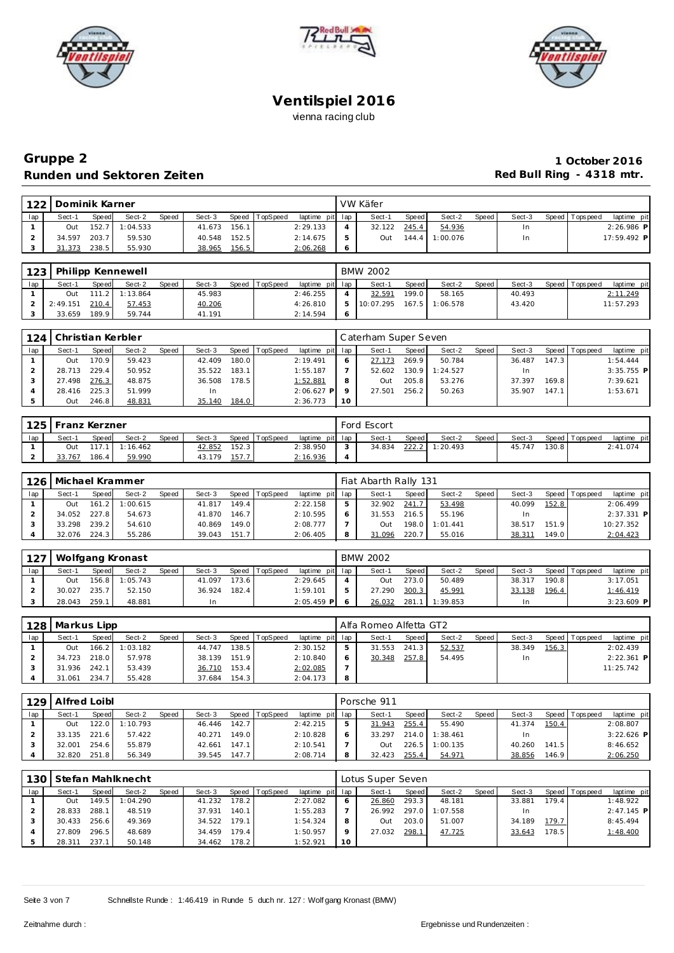





## **Gruppe 2 1 October 2016** Runden und Sektoren Zeiten **aber auch der Einer Einer Erne** der Red Bull Ring - 4318 mtr.

| 122 | Dominik Karner |       |          |              |        |       |          |                 |    | VW Käfer   |              |          |       |        |                 |              |  |
|-----|----------------|-------|----------|--------------|--------|-------|----------|-----------------|----|------------|--------------|----------|-------|--------|-----------------|--------------|--|
| lap | Sect-1         | Speed | Sect-2   | <b>Speed</b> | Sect-3 | Speed | TopSpeed | laptime pit lap |    | Sect-1     | <b>Speed</b> | Sect-2   | Speed | Sect-3 | Speed Tops peed | laptime pit  |  |
|     | Out            | 152.7 | 1:04.533 |              | 41.673 | 156.1 |          | 2:29.133        |    | 32.122     | 245.4        | 54.936   |       | In     |                 | $2:26.986$ P |  |
|     | 34.597         | 203.7 | 59.530   |              | 40.548 | 152.5 |          | 2:14.675        | b. | <b>Out</b> | 144.4        | 1:00.076 |       | In     |                 | 17:59.492 P  |  |
|     | 31.373         | 238.5 | 55.930   |              | 38.965 | 156.5 |          | 2:06.268        | -6 |            |              |          |       |        |                 |              |  |

| 123 |          |                       | Philipp Kennewell |              |        |                |                 | <b>BMW 2002</b> |       |                  |       |        |                |             |
|-----|----------|-----------------------|-------------------|--------------|--------|----------------|-----------------|-----------------|-------|------------------|-------|--------|----------------|-------------|
| lap | Sect-1   | Speed                 | Sect-2            | <b>Speed</b> | Sect-3 | Speed TopSpeed | laptime pit lap | Sect-           | Speed | Sect-2           | Speed | Sect-3 | Speed Topspeed | laptime pit |
|     | Out      | 111<br>$\overline{2}$ | 1:13.864          |              | 45.983 |                | 2:46.255        | 32.591          | 199.0 | 58.165           |       | 40.493 |                | 2:11.249    |
|     | 2:49.151 | 210.4                 | 57.453            |              | 40.206 |                | 4:26.810        | 10:07.295       |       | $167.5$ 1:06.578 |       | 43.420 |                | 11:57.293   |
|     | 33.659   | 189.9                 | 59.744            |              | 41.191 |                | 2:14.594        |                 |       |                  |       |        |                |             |

| 124 |        |       | Christian Kerbler |       |        |       |          |                 |          | Caterham Super Seven |       |          |       |        |       |                 |              |
|-----|--------|-------|-------------------|-------|--------|-------|----------|-----------------|----------|----------------------|-------|----------|-------|--------|-------|-----------------|--------------|
| lap | Sect-1 | Speed | Sect-2            | Speed | Sect-3 | Speed | TopSpeed | laptime pit lap |          | Sect-1               | Speed | Sect-2   | Speed | Sect-3 |       | Speed Tops peed | laptime pit  |
|     | Out    | 170.9 | 59.423            |       | 42.409 | 180.0 |          | 2:19.491        |          | 27.173               | 269.9 | 50.784   |       | 36.487 | 147.3 |                 | 1:54.444     |
|     | 28.713 | 229.4 | 50.952            |       | 35.522 | 183.1 |          | 1:55.187        |          | 52.602               | 130.9 | 1:24.527 |       | ln.    |       |                 | $3:35.755$ P |
|     | 27.498 | 276.3 | 48.875            |       | 36.508 | 178.5 |          | 1:52.881        | 8        | Out                  | 205.8 | 53.276   |       | 37.397 | 169.8 |                 | 7:39.621     |
|     | 28.416 | 225.3 | 51.999            |       | In     |       |          | $2:06.627$ P    |          | 27.501               | 256.2 | 50.263   |       | 35.907 | 147.1 |                 | 1:53.671     |
|     | Out    | 246.8 | 48.831            |       | 35.140 | 184.0 |          | 2:36.773        | $10^{-}$ |                      |       |          |       |        |       |                 |              |

|     | 125   Franz Kerzner |       |                  |              |        |       |          |                 | Ford Escort |       |                |       |        |       |                   |             |
|-----|---------------------|-------|------------------|--------------|--------|-------|----------|-----------------|-------------|-------|----------------|-------|--------|-------|-------------------|-------------|
| lap | Sect-1              | Speed | Sect-2           | <b>Speed</b> | Sect-3 | Speed | TopSpeed | laptime pit lap | Sect-1      | Speed | Sect-2         | Speed | Sect-3 |       | Speed   Tops peed | laptime pit |
|     | Out                 |       | $117.1$ 1:16.462 |              | 42.852 | 152.3 |          | 2:38.950        | 34.834      |       | 222.2 1:20.493 |       | 45.747 | 130.8 |                   | 2:41.074    |
|     | 33.767              | 186.4 | 59.990           |              | 43.179 | 157.7 |          | 2:16.936        |             |       |                |       |        |       |                   |             |

|     |        | 126   Michael Krammer<br>Speed<br>Sect-2<br>Sect-3<br>Speed TopSpeed<br>Sect-1<br><b>Speed</b><br>149.4<br>1:00.615<br>161.2<br>41.817<br>Out<br>34.052 227.8<br>54.673<br>146.7<br>41.870 |        |  |        |       |  |                 | Fiat Abarth Rally 131 |       |          |       |        |       |                |              |
|-----|--------|--------------------------------------------------------------------------------------------------------------------------------------------------------------------------------------------|--------|--|--------|-------|--|-----------------|-----------------------|-------|----------|-------|--------|-------|----------------|--------------|
| lap |        |                                                                                                                                                                                            |        |  |        |       |  | laptime pit lap | Sect-1                | Speed | Sect-2   | Speed | Sect-3 |       | Speed Topspeed | laptime pit  |
|     |        |                                                                                                                                                                                            |        |  |        |       |  | 2:22.158        | 32.902                | 241.7 | 53.498   |       | 40.099 | 152.8 |                | 2:06.499     |
|     |        |                                                                                                                                                                                            |        |  |        |       |  | 2:10.595        | 31.553                | 216.5 | 55.196   |       | In.    |       |                | $2:37.331$ P |
|     | 33.298 | 239.2                                                                                                                                                                                      | 54.610 |  | 40.869 | 149.0 |  | 2:08.777        | 1uO                   | 198.0 | 1:01.441 |       | 38.517 | 151.9 |                | 10:27.352    |
|     | 32.076 | 224.3                                                                                                                                                                                      | 55.286 |  | 39.043 | 151.7 |  | 2:06.405        | 31.096                | 220.7 | 55.016   |       | 38.311 | 149.0 |                | 2:04.423     |

| 127 |        |       | Wolfgang Kronast |       |        |       |          |                 | <b>BMW 2002</b> |       |          |         |        |       |                |              |
|-----|--------|-------|------------------|-------|--------|-------|----------|-----------------|-----------------|-------|----------|---------|--------|-------|----------------|--------------|
| lap | Sect-1 | Speed | Sect-2           | Speed | Sect-3 | Speed | TopSpeed | laptime pit lap | Sect-1          | Speed | Sect-2   | Speed I | Sect-3 |       | Speed Topspeed | laptime pit  |
|     | Out    |       | 156.8 1:05.743   |       | 41.097 | 173.6 |          | 2:29.645        | Out             | 273.0 | 50.489   |         | 38.317 | 190.8 |                | 3:17.051     |
|     | 30.027 | 235.7 | 52.150           |       | 36.924 | 182.4 |          | 1:59.101        | 27.290          | 300.3 | 45.991   |         | 33.138 | 196.4 |                | 1:46.419     |
|     | 28.043 | 259.1 | 48.881           |       | 1n     |       |          | $2:05.459$ P 6  | 26.032          | 281.1 | 1:39.853 |         |        |       |                | $3:23.609$ P |

| 128 | Markus Lipp |       |          |              |        |       |                |                 |   | Alfa Romeo Alfetta GT2 |       |        |       |        |       |                 |              |  |
|-----|-------------|-------|----------|--------------|--------|-------|----------------|-----------------|---|------------------------|-------|--------|-------|--------|-------|-----------------|--------------|--|
| lap | Sect-1      | Speed | Sect-2   | <b>Speed</b> | Sect-3 |       | Speed TopSpeed | laptime pit lap |   | Sect-1                 | Speed | Sect-2 | Speed | Sect-3 |       | Speed Tops peed | laptime pit  |  |
|     | Out         | 166.2 | 1:03.182 |              | 44.747 | 138.5 |                | 2:30.152        |   | 31.553                 | 241.3 | 52.537 |       | 38.349 | 156.3 |                 | 2:02.439     |  |
|     | 34.723      | 218.0 | 57.978   |              | 38.139 | 151.9 |                | 2:10.840        |   | 30.348                 | 257.8 | 54.495 |       | In     |       |                 | $2:22.361$ P |  |
|     | 31.936      | 242.1 | 53.439   |              | 36.710 | 153.4 |                | 2:02.085        |   |                        |       |        |       |        |       |                 | 11:25.742    |  |
|     | 31.061      | 234.7 | 55.428   |              | 37.684 | 154.3 |                | 2:04.173        | 8 |                        |       |        |       |        |       |                 |              |  |

| 129 | Alfred Loibl |       |                |       |        |       |                |                 | Porsche 911 |       |          |       |        |       |                 |              |
|-----|--------------|-------|----------------|-------|--------|-------|----------------|-----------------|-------------|-------|----------|-------|--------|-------|-----------------|--------------|
| lap | Sect-1       | Speed | Sect-2         | Speed | Sect-3 |       | Speed TopSpeed | laptime pit lap | Sect-1      | Speed | Sect-2   | Speed | Sect-3 |       | Speed Tops peed | laptime pit  |
|     | Out          |       | 122.0 1:10.793 |       | 46.446 | 142.7 |                | 2:42.215        | 31.943      | 255.4 | 55.490   |       | 41.374 | 150.4 |                 | 2:08.807     |
|     | 33.135       | 221.6 | 57.422         |       | 40.271 | 149.0 |                | 2:10.828        | 33.297      | 214.0 | 1:38.461 |       | In.    |       |                 | $3:22.626$ P |
|     | 32.001       | 254.6 | 55.879         |       | 42.661 | 147.1 |                | 2:10.541        | Out         | 226.5 | 1:00.135 |       | 40.260 | 141.5 |                 | 8:46.652     |
|     | 32.820       | 251.8 | 56.349         |       | 39.545 | 147.7 |                | 2:08.714        | 32.423      | 255.4 | 54.971   |       | 38.856 | 146.9 |                 | 2:06.250     |

| 130 <sup>1</sup> | Stefan Mahlknecht<br>Sect-2<br>Sect-3<br>Speed   TopSpeed<br>Speed<br>Sect-1<br>Speed<br>178.2<br>149.51<br>41.232<br>1:04.290<br>Out<br>288.1<br>48.519<br>140.1<br>28.833<br>37.931 |       |        |  |        |       |  |                 | Lotus Super Seven |        |       |          |       |        |       |                |              |
|------------------|---------------------------------------------------------------------------------------------------------------------------------------------------------------------------------------|-------|--------|--|--------|-------|--|-----------------|-------------------|--------|-------|----------|-------|--------|-------|----------------|--------------|
| lap              |                                                                                                                                                                                       |       |        |  |        |       |  | laptime pit lap |                   | Sect-1 | Speed | Sect-2   | Speed | Sect-3 |       | Speed Topspeed | laptime pit  |
|                  |                                                                                                                                                                                       |       |        |  |        |       |  | 2:27.082        |                   | 26.860 | 293.3 | 48.181   |       | 33.881 | 179.4 |                | 1:48.922     |
|                  |                                                                                                                                                                                       |       |        |  |        |       |  | 1:55.283        |                   | 26.992 | 297.0 | 1:07.558 |       |        |       |                | $2:47.145$ P |
|                  | 30.433                                                                                                                                                                                | 256.6 | 49.369 |  | 34.522 | 179.1 |  | 1:54.324        |                   | Out    | 203.0 | 51.007   |       | 34.189 | 179.7 |                | 8:45.494     |
|                  | 27.809                                                                                                                                                                                | 296.5 | 48.689 |  | 34.459 | 179.4 |  | 1:50.957        |                   | 27.032 | 298.1 | 47.725   |       | 33.643 | 178.5 |                | 1:48.400     |
|                  | 28.311                                                                                                                                                                                | 237.1 | 50.148 |  | 34.462 | 178.2 |  | 1:52.921        | 10                |        |       |          |       |        |       |                |              |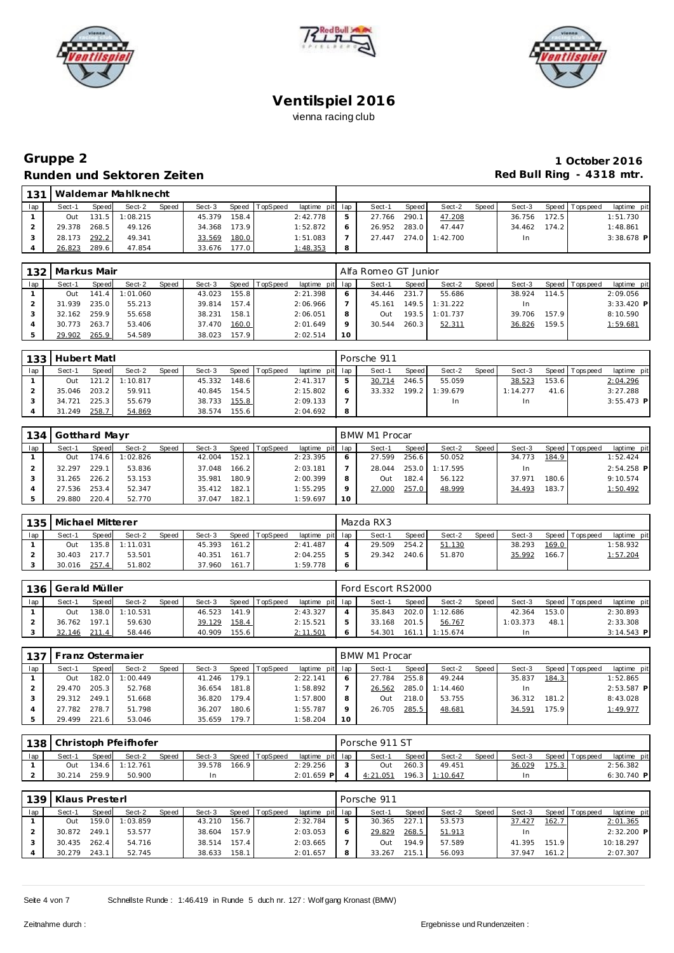





## **Gruppe 2 1 October 2016 Runden und Sektoren Zeiten Red Bull Ring - 4318 mtr.**

| 131 |        |       | Waldemar Mahlknecht |       |        |         |                |                 |   |        |       |                |       |        |       |                 |              |
|-----|--------|-------|---------------------|-------|--------|---------|----------------|-----------------|---|--------|-------|----------------|-------|--------|-------|-----------------|--------------|
| lap | Sect-1 | Speed | Sect-2              | Speed | Sect-3 |         | Speed TopSpeed | laptime pit lap |   | Sect-1 | Speed | Sect-2         | Speed | Sect-3 |       | Speed Tops peed | laptime pit  |
|     | Out    |       | $131.5$ 1:08.215    |       | 45.379 | 158.4   |                | 2:42.778        |   | 27.766 | 290.1 | 47.208         |       | 36.756 | 172.5 |                 | 1:51.730     |
|     | 29.378 | 268.5 | 49.126              |       | 34.368 | 173.9   |                | 1:52.872        |   | 26.952 | 283.0 | 47.447         |       | 34.462 | 174.2 |                 | 1:48.861     |
|     | 28.173 | 292.2 | 49.341              |       | 33.569 | 180.0   |                | 1:51.083        |   | 27.447 |       | 274.0 1:42.700 |       | In     |       |                 | $3:38.678$ P |
|     | 26.823 | 289.6 | 47.854              |       | 33.676 | 177.0 l |                | 1:48.353        | 8 |        |       |                |       |        |       |                 |              |

| 132 | l Markus Mair |       |          |       |        |       |          |                 |         | Alfa Romeo GT Junior |       |          |         |        |       |                 |              |
|-----|---------------|-------|----------|-------|--------|-------|----------|-----------------|---------|----------------------|-------|----------|---------|--------|-------|-----------------|--------------|
| lap | Sect-1        | Speed | Sect-2   | Speed | Sect-3 | Speed | TopSpeed | laptime pit lap |         | Sect-1               | Speed | Sect-2   | Speed I | Sect-3 |       | Speed Tops peed | laptime pit  |
|     | Out           | 141.4 | 1:01.060 |       | 43.023 | 155.8 |          | 2:21.398        |         | 34.446               | 231.7 | 55.686   |         | 38.924 | 114.5 |                 | 2:09.056     |
|     | 31.939        | 235.0 | 55.213   |       | 39.814 | 157.4 |          | 2:06.966        |         | 45.161               | 149.5 | 1:31.222 |         |        |       |                 | $3:33.420$ P |
|     | 32.162        | 259.9 | 55.658   |       | 38.231 | 158.1 |          | 2:06.051        |         | 1uO                  | 193.5 | 1:01.737 |         | 39.706 | 157.9 |                 | 8:10.590     |
|     | 30.773        | 263.7 | 53.406   |       | 37.470 | 160.0 |          | 2:01.649        | $\circ$ | 30.544               | 260.3 | 52.311   |         | 36.826 | 159.5 |                 | 1:59.681     |
|     | 29.902        | 265.9 | 54.589   |       | 38.023 | 157.9 |          | 2:02.514        | 10      |                      |       |          |         |        |       |                 |              |

| 133 | Hubert Matl |       |                  |       |        |       |                |                 |               | Porsche 911 |       |                  |       |          |       |                 |              |
|-----|-------------|-------|------------------|-------|--------|-------|----------------|-----------------|---------------|-------------|-------|------------------|-------|----------|-------|-----------------|--------------|
| lap | Sect-1      | Speed | Sect-2           | Speed | Sect-3 |       | Speed TopSpeed | laptime pit lap |               | Sect-1      | Speed | Sect-2           | Speed | Sect-3   |       | Speed Tops peed | laptime pit  |
|     | Out         |       | $121.2$ 1:10.817 |       | 45.332 | 148.6 |                | 2: 41.317       | $\mathcal{P}$ | 30.714      | 246.5 | 55.059           |       | 38.523   | 153.6 |                 | 2:04.296     |
|     | 35.046      | 203.2 | 59.911           |       | 40.845 | 154.5 |                | 2:15.802        | -6            | 33.332      |       | $199.2$ 1:39.679 |       | 1:14.277 | 41.6  |                 | 3:27.288     |
|     | 34.721      | 225.3 | 55.679           |       | 38.733 | 155.8 |                | 2:09.133        |               |             |       | In.              |       | In       |       |                 | $3:55.473$ P |
|     | 31.249      | 258.7 | 54.869           |       | 38.574 | 155.6 |                | 2:04.692        | - 8           |             |       |                  |       |          |       |                 |              |

| 134 | Gotthard Mayr |       |          |       |        |       |          |                 |         | BMW M1 Procar |       |          |       |        |       |                 |              |
|-----|---------------|-------|----------|-------|--------|-------|----------|-----------------|---------|---------------|-------|----------|-------|--------|-------|-----------------|--------------|
| lap | Sect-1        | Speed | Sect-2   | Speed | Sect-3 | Speed | TopSpeed | laptime pit lap |         | Sect-1        | Speed | Sect-2   | Speed | Sect-3 |       | Speed Tops peed | laptime pit  |
|     | Out           | 174.6 | 1:02.826 |       | 42.004 | 152.1 |          | 2:23.395        |         | 27.599        | 256.6 | 50.052   |       | 34.773 | 184.9 |                 | 1:52.424     |
|     | 32.297        | 229.1 | 53.836   |       | 37.048 | 166.2 |          | 2:03.181        |         | 28.044        | 253.0 | 1:17.595 |       |        |       |                 | $2:54.258$ P |
|     | 31.265        | 226.2 | 53.153   |       | 35.981 | 180.9 |          | 2:00.399        | 8       | 1uO           | 182.4 | 56.122   |       | 37.971 | 180.6 |                 | 9:10.574     |
|     | 27.536        | 253.4 | 52.347   |       | 35.412 | 182.1 |          | 1:55.295        | $\circ$ | 27.000        | 257.0 | 48.999   |       | 34.493 | 183.7 |                 | 1:50.492     |
|     | 29.880        | 220.4 | 52.770   |       | 37.047 | 182.1 |          | 1:59.697        | 10      |               |       |          |       |        |       |                 |              |

| 135 | Michael Mitterer |       |          |              |        |       |          |                 | Mazda RX3 |       |        |         |        |       |                |             |
|-----|------------------|-------|----------|--------------|--------|-------|----------|-----------------|-----------|-------|--------|---------|--------|-------|----------------|-------------|
| lap | Sect-1           | Speed | Sect-2   | <b>Speed</b> | Sect-3 | Speed | TopSpeed | laptime pit lap | Sect-1    | Speed | Sect-2 | Speed I | Sect-3 |       | Speed Topspeed | laptime pit |
|     | Out              | 135.8 | 1:11.031 |              | 45.393 | 161.2 |          | 2:41.487        | 29.509    | 254.2 | 51.130 |         | 38.293 | 169.0 |                | 1:58.932    |
|     | 30.403           | 217.7 | 53.501   |              | 40.351 | 161.7 |          | 2:04.255        | 29.342    | 240.6 | 51.870 |         | 35.992 | 166.7 |                | 1:57.204    |
|     | 30.016           | 257.4 | 51.802   |              | 37.960 | 161.7 |          | 1:59.778        |           |       |        |         |        |       |                |             |

| 136 | Gerald Müller |       |                |       |        |       |                |                 |         | Ford Escort RS2000 |       |                |       |          |       |                 |              |
|-----|---------------|-------|----------------|-------|--------|-------|----------------|-----------------|---------|--------------------|-------|----------------|-------|----------|-------|-----------------|--------------|
| lap | Sect-1        | Speed | Sect-2         | Speed | Sect-3 |       | Speed TopSpeed | laptime pit lap |         | Sect-1             | Speed | Sect-2         | Speed | Sect-3   |       | Speed Tops peed | laptime pit  |
|     | Out           |       | 138.0 1:10.531 |       | 46.523 | 141.9 |                | 2:43.327        |         | 35.843             |       | 202.0 1:12.686 |       | 42.364   | 153.0 |                 | 2:30.893     |
|     | 36.762        | 197.1 | 59.630         |       | 39.129 | 158.4 |                | 2:15.521        | b       | 33.168             | 201.5 | 56.767         |       | 1:03.373 | 48.1  |                 | 2:33.308     |
|     | 32.146        | 211.4 | 58.446         |       | 40.909 | 155.6 |                | 2:11.501        | $\circ$ | 54.301             | 161.1 | 111:15.674     |       | In       |       |                 | $3:14.543$ P |

|     | 137   Franz Ostermaier |         |          |       |        |       |                |                 |    | BMW M1 Procar |       |          |       |        |       |                 |             |
|-----|------------------------|---------|----------|-------|--------|-------|----------------|-----------------|----|---------------|-------|----------|-------|--------|-------|-----------------|-------------|
| lap | Sect-1                 | Speed   | Sect-2   | Speed | Sect-3 |       | Speed TopSpeed | laptime pit lap |    | Sect-1        | Speed | Sect-2   | Speed | Sect-3 |       | Speed Tops peed | laptime pit |
|     | Out                    | 182.0 l | 1:00.449 |       | 41.246 | 179.1 |                | 2:22.141        | 6  | 27.784        | 255.8 | 49.244   |       | 35.837 | 184.3 |                 | 1:52.865    |
|     | 29.470                 | 205.3   | 52.768   |       | 36.654 | 181.8 |                | 1:58.892        |    | 26.562        | 285.0 | 1:14.460 |       | In.    |       |                 | 2:53.587 P  |
|     | 29.312                 | 249.1   | 51.668   |       | 36.820 | 179.4 |                | 1:57.800        | 8  | Out           | 218.0 | 53.755   |       | 36.312 | 181.2 |                 | 8:43.028    |
|     | 27.782                 | 278.7   | 51.798   |       | 36.207 | 180.6 |                | 1:55.787        | Q  | 26.705        | 285.5 | 48.681   |       | 34.591 | 175.9 |                 | 1:49.977    |
|     | 29.499                 | 221.6   | 53.046   |       | 35.659 | 179.7 |                | 1:58.204        | 10 |               |       |          |       |        |       |                 |             |

|     |        |       | 138 Christoph Pfeifhofer |       |        |       |                |                 | Porsche 911 ST   |       |          |       |        |       |                 |              |
|-----|--------|-------|--------------------------|-------|--------|-------|----------------|-----------------|------------------|-------|----------|-------|--------|-------|-----------------|--------------|
| lap | Sect-1 | Speed | Sect-2                   | Speed | Sect-3 |       | Speed TopSpeed | laptime pit lap | Sect-            | Speed | Sect-2   | Speed | Sect-3 |       | Speed Tops peed | laptime pit  |
|     | Out    |       | 134.6 1:12.761           |       | 39.578 | 166.9 |                | 2:29.256        | Out              | 260.3 | 49.451   |       | 36.029 | 175.3 |                 | 2:56.382     |
|     | 30.214 | 259.9 | 50.900                   |       | In     |       |                | $2:01.659$ P    | $\cdot$ : 21.051 | 196.3 | 1:10.647 |       | In     |       |                 | $6:30.740$ P |

|     | 139 Klaus Presterl |       |          |              |        |       |                 |                 | Porsche 911 |       |        |       |        |       |                 |              |
|-----|--------------------|-------|----------|--------------|--------|-------|-----------------|-----------------|-------------|-------|--------|-------|--------|-------|-----------------|--------------|
| lap | Sect-1             | Speed | Sect-2   | <b>Speed</b> | Sect-3 | Speed | <b>TopSpeed</b> | laptime pit lap | Sect-1      | Speed | Sect-2 | Speed | Sect-3 |       | Speed Tops peed | laptime pit  |
|     | Out                | 159.0 | 1:03.859 |              | 43.210 | 156.7 |                 | 2:32.784        | 30.365      | 227.7 | 53.573 |       | 37.427 | 162.7 |                 | 2:01.365     |
|     | 30.872             | 249.1 | 53.577   |              | 38.604 | 157.9 |                 | 2:03.053        | 29.829      | 268.5 | 51.913 |       | In     |       |                 | $2:32.200$ P |
|     | 30.435             | 262.4 | 54.716   |              | 38.514 | 157.4 |                 | 2:03.665        | TuO         | 194.9 | 57.589 |       | 41.395 | 151.9 |                 | 10:18.297    |
|     | 30.279             | 243.1 | 52.745   |              | 38.633 | 158.1 |                 | 2:01.657        | 33.267      | 215.1 | 56.093 |       | 37.947 | 161.2 |                 | 2:07.307     |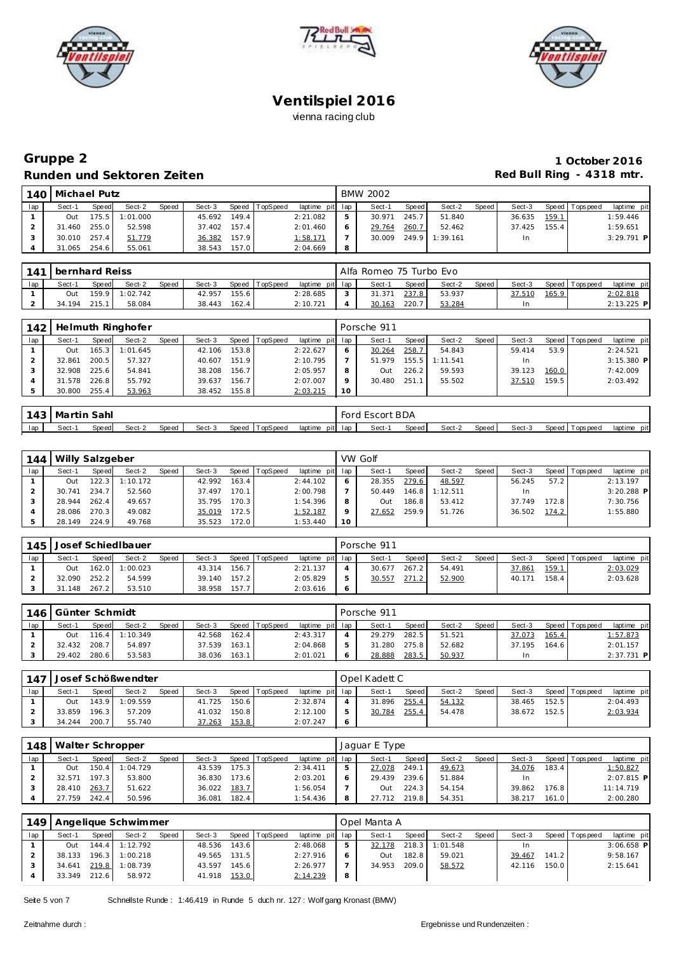





# **Gruppe 2 1 October 2016 Runden und Sektoren Zeiten Red Bull Ring - 4318 mtr.**

| 140 | I Michael Putz |       |          |       |        |       |          |                 | <b>BMW 2002</b> |        |          |       |        |       |                 |              |
|-----|----------------|-------|----------|-------|--------|-------|----------|-----------------|-----------------|--------|----------|-------|--------|-------|-----------------|--------------|
| lap | Sect-1         | Speed | Sect-2   | Speed | Sect-3 | Speed | TopSpeed | laptime pit lap | Sect-1          | Speed  | Sect-2   | Speed | Sect-3 |       | Speed Tops peed | laptime pit  |
|     | Out            | 175.5 | 1:01.000 |       | 45.692 | 149.4 |          | 2:21.082        | 30.971          | 245.7  | 51.840   |       | 36.635 | 159.1 |                 | 1:59.446     |
|     | 31.460         | 255.0 | 52.598   |       | 37.402 | 157.4 |          | 2:01.460        | 29.764          | 260.7  | 52.462   |       | 37.425 | 155.4 |                 | 1:59.651     |
|     | 30.010 257.4   |       | 51.779   |       | 36.382 | 157.9 |          | <u>1:58.171</u> | 30.009          | 249.91 | 1:39.161 |       | -In    |       |                 | $3:29.791$ P |
|     | 31.065         | 254.6 | 55.061   |       | 38.543 | 157.0 |          | 2:04.669        |                 |        |          |       |        |       |                 |              |

|     | 141 bernhard Reiss |              |                |              |        |       |          |                 | Alfa Romeo 75 Turbo Evo |              |        |       |        |       |                 |              |
|-----|--------------------|--------------|----------------|--------------|--------|-------|----------|-----------------|-------------------------|--------------|--------|-------|--------|-------|-----------------|--------------|
| lap | Sect-1             | <b>Speed</b> | Sect-2         | <b>Speed</b> | Sect-3 | Speed | TopSpeed | laptime pit lap | Sect-1                  | <b>Speed</b> | Sect-2 | Speed | Sect-3 |       | Speed Tops peed | laptime pit  |
|     | Out                |              | 159.9 1:02.742 |              | 42.957 | 155.6 |          | 2:28.685        | 31.371                  | 237.8        | 53.937 |       | 37.510 | 165.9 |                 | 2:02.818     |
|     | 34.194             | 215.1        | 58.084         |              | 38.443 | 162.4 |          | 2:10.721        | 30.163                  | 220.7        | 53.284 |       | In     |       |                 | $2:13.225$ P |

| 142 |        |       | Helmuth Ringhofer |       |        |       |          |                 |         | Porsche 911 |       |          |       |        |       |                |              |
|-----|--------|-------|-------------------|-------|--------|-------|----------|-----------------|---------|-------------|-------|----------|-------|--------|-------|----------------|--------------|
| lap | Sect-1 | Speed | Sect-2            | Speed | Sect-3 | Speed | TopSpeed | laptime pit lap |         | Sect-1      | Speed | Sect-2   | Speed | Sect-3 |       | Speed Topspeed | laptime pit  |
|     | Out    | 165.3 | 1:01.645          |       | 42.106 | 153.8 |          | 2:22.627        | 6       | 30.264      | 258.7 | 54.843   |       | 59.414 | 53.9  |                | 2:24.521     |
|     | 32.861 | 200.5 | 57.327            |       | 40.607 | 151.9 |          | 2:10.795        |         | 51.979      | 155.5 | 1:11.541 |       | In     |       |                | $3:15.380$ P |
|     | 32.908 | 225.6 | 54.841            |       | 38.208 | 156.7 |          | 2:05.957        | 8       | Out         | 226.2 | 59.593   |       | 39.123 | 160.0 |                | 7:42.009     |
|     | 31.578 | 226.8 | 55.792            |       | 39.637 | 156.7 |          | 2:07.007        | $\circ$ | 30.480      | 251.1 | 55.502   |       | 37.510 | 159.5 |                | 2:03.492     |
|     | 30.800 | 255.4 | 53.963            |       | 38.452 | 155.8 |          | 2:03.215        | 10      |             |       |          |       |        |       |                |              |

|     | 143   Martin Sahl |       |        |       |        |                |                 | Ford Escort BDA |       |        |       |        |                   |             |
|-----|-------------------|-------|--------|-------|--------|----------------|-----------------|-----------------|-------|--------|-------|--------|-------------------|-------------|
| lap | Sect-             | Speed | Sect-2 | Speed | Sect-3 | Speed TopSpeed | laptime pit lap | Sect-1          | Speed | Sect-2 | Speed | Sect-3 | Speed   Tops peed | laptime pit |

| 144 | Willy Salzgeber |       |          |       |        |       |                |                 |    | VW Golf    |         |          |       |        |       |                 |              |
|-----|-----------------|-------|----------|-------|--------|-------|----------------|-----------------|----|------------|---------|----------|-------|--------|-------|-----------------|--------------|
| lap | Sect-1          | Speed | Sect-2   | Speed | Sect-3 |       | Speed TopSpeed | laptime pit lap |    | Sect-1     | Speed   | Sect-2   | Speed | Sect-3 |       | Speed Tops peed | laptime pit  |
|     | Out             | 122.3 | 1:10.172 |       | 42.992 | 163.4 |                | 2:44.102        |    | 28.355     | 279.6   | 48.597   |       | 56.245 | 57.2  |                 | 2:13.197     |
|     | 30.741          | 234.7 | 52.560   |       | 37.497 | 170.1 |                | 2:00.798        |    | 50.449     | 146.8 I | 1:12.511 |       | In     |       |                 | $3:20.288$ P |
|     | 28.944          | 262.4 | 49.657   |       | 35.795 | 170.3 |                | 1:54.396        |    | <b>Out</b> | 186.8   | 53.412   |       | 37.749 | 172.8 |                 | 7:30.756     |
|     | 28.086          | 270.3 | 49.082   |       | 35.019 | 172.5 |                | 1:52.187        |    | 27.652     | 259.9   | 51.726   |       | 36.502 | 174.2 |                 | 1:55.880     |
|     | 28.149          | 224.9 | 49.768   |       | 35.523 | 172.0 |                | 1:53.440        | 10 |            |         |          |       |        |       |                 |              |

| 145 |        |              | Josef Schied Ibauer |              |        |       |          |                 | Porsche 911 |         |        |       |        |       |                |             |
|-----|--------|--------------|---------------------|--------------|--------|-------|----------|-----------------|-------------|---------|--------|-------|--------|-------|----------------|-------------|
| lap | Sect-1 | <b>Speed</b> | Sect-2              | <b>Speed</b> | Sect-3 | Speed | TopSpeed | laptime pit lap | Sect-1      | Speed I | Sect-2 | Speed | Sect-3 |       | Speed Topspeed | laptime pit |
|     | Out    | 162.0        | 1:00.023            |              | 43.314 | 156.7 |          | 2:21.137        | 30.677      | 267.2   | 54.491 |       | 37.861 | 159.1 |                | 2:03.029    |
|     | 32.090 | 252.2        | 54.599              |              | 39.140 | 157.2 |          | 2:05.829        | 30.557      | 271.2   | 52.900 |       | 40.171 | 158.4 |                | 2:03.628    |
|     | 31.148 | 267.2        | 53.510              |              | 38.958 | 157.7 |          | 2:03.616        |             |         |        |       |        |       |                |             |

|     | 146 Günter Schmidt |       |                  |              |        |       |          |                 |   | Porsche 911 |       |        |       |        |       |                  |              |
|-----|--------------------|-------|------------------|--------------|--------|-------|----------|-----------------|---|-------------|-------|--------|-------|--------|-------|------------------|--------------|
| lap | Sect-1             | Speed | Sect-2           | <b>Speed</b> | Sect-3 | Speed | TopSpeed | laptime pit lap |   | Sect-1      | Speed | Sect-2 | Speed | Sect-3 |       | Speed   Topspeed | laptime pit  |
|     | Out                |       | $116.4$ 1:10.349 |              | 42.568 | 162.4 |          | 2:43.317        |   | 29.279      | 282.5 | 51.521 |       | 37.073 | 165.4 |                  | 1:57.873     |
|     | 32.432             | 208.7 | 54.897           |              | 37.539 | 163.1 |          | 2:04.868        | 5 | 31.280      | 275.8 | 52.682 |       | 37.195 | 164.6 |                  | 2:01.157     |
|     | 29.402             | 280.6 | 53.583           |              | 38.036 | 163.1 |          | 2:01.021        | O | 28.888      | 283.5 | 50.937 |       | In     |       |                  | $2:37.731$ P |

| .147 |        |       | Josef Schößwendter |       |        |       |                |                 | Opel Kadett C |                    |        |       |        |       |                 |             |
|------|--------|-------|--------------------|-------|--------|-------|----------------|-----------------|---------------|--------------------|--------|-------|--------|-------|-----------------|-------------|
| lap  | Sect-1 | Speed | Sect-2             | Speed | Sect-3 |       | Speed TopSpeed | laptime pit lap | Sect-1        | Speed <sub>1</sub> | Sect-2 | Speed | Sect-3 |       | Speed Tops peed | laptime pit |
|      | 1uO    | 143.9 | 1:09.559           |       | 41.725 | 150.6 |                | 2:32.874        | 31.896        | 255.4              | 54.132 |       | 38.465 | 152.5 |                 | 2:04.493    |
|      | 33.859 | 196.3 | 57.209             |       | 41.032 | 150.8 |                | 2:12.100        | 30.784        | 255.4              | 54.478 |       | 38.672 | 152.5 |                 | 2:03.934    |
|      | 34.244 | 200.7 | 55.740             |       | 37.263 | 153.8 |                | 2:07.247        |               |                    |        |       |        |       |                 |             |

| 1481 | Walter Schropper |       |          |       |        |       |                |                 | Jaquar E Type |                    |        |         |        |       |                |              |
|------|------------------|-------|----------|-------|--------|-------|----------------|-----------------|---------------|--------------------|--------|---------|--------|-------|----------------|--------------|
| lap  | Sect-1           | Speed | Sect-2   | Speed | Sect-3 |       | Speed TopSpeed | laptime pit lap | Sect-1        | Speed I            | Sect-2 | Speed I | Sect-3 |       | Speed Topspeed | laptime pit  |
|      | Out              | 150.4 | 1:04.729 |       | 43.539 | 175.3 |                | 2:34.411        | 27.078        | 249.1              | 49.673 |         | 34.076 | 183.4 |                | 1:50.827     |
|      | 32.571           | 197.3 | 53.800   |       | 36.830 | 173.6 |                | 2:03.201        | 29.439        | 239.6 <sub>1</sub> | 51.884 |         | In.    |       |                | $2:07.815$ P |
|      | 28.410           | 263.7 | 51.622   |       | 36.022 | 183.7 |                | 1:56.054        | Out           | 224.3              | 54.154 |         | 39.862 | 176.8 |                | 11:14.719    |
|      | 27.759           | 242.4 | 50.596   |       | 36.081 | 182.4 |                | 1:54.436        | 27.712 219.8  |                    | 54.351 |         | 38.217 | 161.0 |                | 2:00.280     |

|     |        |              | 149 Angelique Schwimmer |       |        |       |          |                 |   | Opel Manta A |         |          |       |        |       |                 |              |
|-----|--------|--------------|-------------------------|-------|--------|-------|----------|-----------------|---|--------------|---------|----------|-------|--------|-------|-----------------|--------------|
| lap | Sect-1 | <b>Speed</b> | Sect-2                  | Speed | Sect-3 | Speed | TopSpeed | laptime pit lap |   | Sect-1       | Speed I | Sect-2   | Speed | Sect-3 |       | Speed Tops peed | laptime pit  |
|     | Out    | 144.4        | 1:12.792                |       | 48.536 | 143.6 |          | 2:48.068        |   | 32.178       | 218.3   | 1:01.548 |       |        |       |                 | $3:06.658$ P |
|     | 38.133 | 196.3        | 1:00.218                |       | 49.565 | 131.5 |          | 2:27.916        |   | Out          | 182.8   | 59.021   |       | 39.467 | 141.2 |                 | 9:58.167     |
|     | 34.641 | 219.8        | 1:08.739                |       | 43.597 | 145.6 |          | 2:26.977        |   | 34.953       | 209.0   | 58.572   |       | 42.116 | 150.0 |                 | 2:15.641     |
|     | 33.349 | 212.6        | 58.972                  |       | 41.918 | 153.0 |          | 2:14.239        | 8 |              |         |          |       |        |       |                 |              |

Seite 5 von 7 Schnellste Runde : 1:46.419 in Runde 5 duch nr. 127 : Wolf gang Kronast (BMW)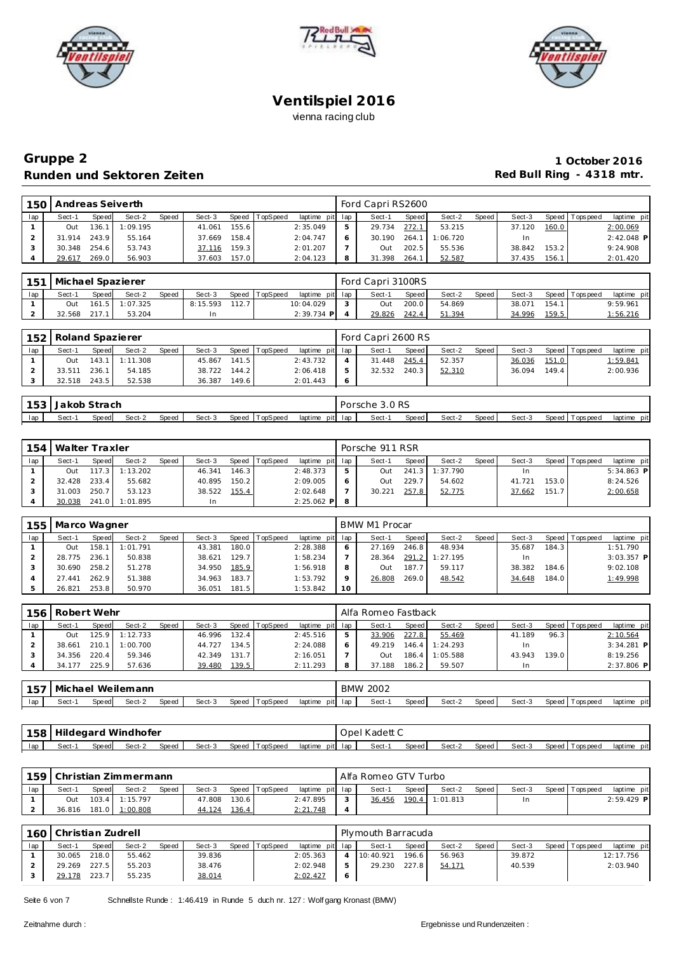





## **Gruppe 2 1 October 2016** Runden und Sektoren Zeiten **Runden und Sektoren Zeiten Red Bull Ring - 4318 mtr.**

| 150 | Andreas Seiverth |        |          |       |        |       |          |                 | Ford Capri RS2600 |       |          |       |        |       |                 |             |
|-----|------------------|--------|----------|-------|--------|-------|----------|-----------------|-------------------|-------|----------|-------|--------|-------|-----------------|-------------|
| lap | Sect-1           | Speed  | Sect-2   | Speed | Sect-3 | Speed | TopSpeed | laptime pit lap | Sect-1            | Speed | Sect-2   | Speed | Sect-3 |       | Speed Tops peed | laptime pit |
|     | Out              | 136.11 | 1:09.195 |       | 41.061 | 155.6 |          | 2:35.049        | 29.734            | 272.1 | 53.215   |       | 37.120 | 160.0 |                 | 2:00.069    |
|     | 31.914           | 243.9  | 55.164   |       | 37.669 | 158.4 |          | 2:04.747        | 30.190            | 264.1 | 1:06.720 |       | In     |       |                 | 2:42.048 P  |
|     | 30.348           | 254.6  | 53.743   |       | 37.116 | 159.3 |          | 2:01.207        | Out               | 202.5 | 55.536   |       | 38.842 | 153.2 |                 | 9:24.908    |
|     | 29.617           | 269.0  | 56.903   |       | 37.603 | 157.0 |          | 2:04.123        | 31.398            | 264.1 | 52.587   |       | 37.435 | 156.1 |                 | 2:01.420    |

| 151 |        |       | Michael Spazierer |       |          |       |          |                 | Ford Capri 3100RS |       |        |       |        |       |                   |                 |
|-----|--------|-------|-------------------|-------|----------|-------|----------|-----------------|-------------------|-------|--------|-------|--------|-------|-------------------|-----------------|
| lap | Sect-1 | Speed | Sect-2            | Speed | Sect-3   | Speed | TopSpeed | laptime pit lap | Sect-1            | Speed | Sect-2 | Speed | Sect-3 |       | Speed   Tops peed | laptime pit     |
|     | Out    |       | 161.5 1:07.325    |       | 8:15.593 | 112.7 |          | 10:04.029       | Out               | 200.0 | 54.869 |       | 38.071 | 154.1 |                   | 9:59.961        |
|     | 32.568 | 217.1 | 53.204            |       |          |       |          | $2:39.734$ P    | 29.826            | 242.4 | 51.394 |       | 34.996 | 159.5 |                   | <u>1:56.21(</u> |

|     | 152   Roland Spazierer |       |                |       |        |       |          |                 | Ford Capri 2600 RS |         |        |       |        |       |                 |             |  |
|-----|------------------------|-------|----------------|-------|--------|-------|----------|-----------------|--------------------|---------|--------|-------|--------|-------|-----------------|-------------|--|
| lap | Sect-1                 | Speed | Sect-2         | Speed | Sect-3 | Speed | TopSpeed | laptime pit lap | Sect-1             | Speed I | Sect-2 | Speed | Sect-3 | Speed | <b>Topspeed</b> | laptime pit |  |
|     | Out                    |       | 143.1 1:11.308 |       | 45.867 | 141.5 |          | 2:43.732        | 31.448             | 245.4   | 52.357 |       | 36.036 | 151.0 |                 | 1:59.841    |  |
|     | 33.511                 | 236.1 | 54.185         |       | 38.722 | 144.2 |          | 2:06.418        | 32.532             | 240.3   | 52.310 |       | 36.094 | 149.4 |                 | 2:00.936    |  |
|     | 32.518                 | 243.5 | 52.538         |       | 36.387 | 149.6 |          | 2:01.443        |                    |         |        |       |        |       |                 |             |  |

| ັ   | nh    | ๊trach ิ |        |       |        |       |          |                 | Porsche | 3.0 RS<br>$\sim$ $\sim$ $\sim$ $\sim$ $\sim$ $\sim$ $\sim$ |       |        |       |        |       |            |                |
|-----|-------|----------|--------|-------|--------|-------|----------|-----------------|---------|------------------------------------------------------------|-------|--------|-------|--------|-------|------------|----------------|
| lap | Sect- | Speed    | Sect-2 | Speed | Sect-3 | Speed | TopSpeed | laptime<br>piti | lar     | Sect-                                                      | Speed | Sect-2 | Speed | Sect-3 | Speed | Tops pee d | pit<br>laptime |

| 154 | Walter Traxler |       |                  |       |        |       |                |                 |   | Porsche 911 RSR |       |                |                    |        |       |                 |              |
|-----|----------------|-------|------------------|-------|--------|-------|----------------|-----------------|---|-----------------|-------|----------------|--------------------|--------|-------|-----------------|--------------|
| lap | Sect-1         | Speed | Sect-2           | Speed | Sect-3 |       | Speed TopSpeed | laptime pit lap |   | Sect-1          | Speed | Sect-2         | Speed <sub>I</sub> | Sect-3 |       | Speed Tops peed | laptime pit  |
|     | <b>Out</b>     |       | $117.3$ 1:13.202 |       | 46.341 | 146.3 |                | 2:48.373        | 5 | Out             |       | 241.3 1:37.790 |                    | In.    |       |                 | $5:34.863$ P |
|     | 32.428         | 233.4 | 55.682           |       | 40.895 | 150.2 |                | 2:09.005        |   | Out             | 229.7 | 54.602         |                    | 41.721 | 153.0 |                 | 8:24.526     |
|     | 31.003         | 250.7 | 53.123           |       | 38.522 | 155.4 |                | 2:02.648        |   | 30.221          | 257.8 | 52.775         |                    | 37.662 | 151.7 |                 | 2:00.658     |
|     | 30.038         |       | 241.0 1:01.895   |       | In     |       |                | $2:25.062$ P    | 8 |                 |       |                |                    |        |       |                 |              |

| 155 | Marco Wagner |       |          |       |        |       |                |                 |    | BMW M1 Procar |       |          |       |        |       |                 |              |
|-----|--------------|-------|----------|-------|--------|-------|----------------|-----------------|----|---------------|-------|----------|-------|--------|-------|-----------------|--------------|
| lap | Sect-1       | Speed | Sect-2   | Speed | Sect-3 |       | Speed TopSpeed | laptime pit lap |    | Sect-1        | Speed | Sect-2   | Speed | Sect-3 |       | Speed Tops peed | laptime pit  |
|     | Out          | 158.  | 1:01.791 |       | 43.381 | 180.0 |                | 2:28.388        |    | 27.169        | 246.8 | 48.934   |       | 35.687 | 184.3 |                 | 1:51.790     |
|     | 28.775       | 236.1 | 50.838   |       | 38.621 | 129.7 |                | 1:58.234        |    | 28.364        | 291.2 | 1:27.195 |       | In.    |       |                 | $3:03.357$ P |
|     | 30.690       | 258.2 | 51.278   |       | 34.950 | 185.9 |                | 1:56.918        |    | Out           | 187.7 | 59.117   |       | 38.382 | 184.6 |                 | 9:02.108     |
|     | 27.441       | 262.9 | 51.388   |       | 34.963 | 183.7 |                | 1:53.792        |    | 26.808        | 269.0 | 48.542   |       | 34.648 | 184.0 |                 | 1:49.998     |
|     | 26.821       | 253.8 | 50.970   |       | 36.051 | 181.5 |                | 1:53.842        | 10 |               |       |          |       |        |       |                 |              |

| 156 | Robert Wehr |       |          |       |        |       |          |                 | Alfa Romeo Fastback |              |          |       |        |                    |                   |              |
|-----|-------------|-------|----------|-------|--------|-------|----------|-----------------|---------------------|--------------|----------|-------|--------|--------------------|-------------------|--------------|
| lap | Sect-1      | Speed | Sect-2   | Speed | Sect-3 | Speed | TopSpeed | laptime pit lap | Sect-1              | <b>Speed</b> | Sect-2   | Speed | Sect-3 |                    | Speed   Tops peed | laptime pit  |
|     | Out         | 25.9  | 1:12.733 |       | 46.996 | 132.4 |          | 2:45.516        | 33.906              | 227.8        | 55.469   |       | 41.189 | 96.3               |                   | 2:10.564     |
|     | 38.661      | 210.1 | 1:00.700 |       | 44.727 | 134.5 |          | 2:24.088        | 49.219              | $146.4$      | 1:24.293 |       | In     |                    |                   | $3:34.281$ P |
|     | 34.356      | 220.4 | 59.346   |       | 42.349 | 131.7 |          | 2:16.051        | Out                 | 186.4        | 1:05.588 |       | 43.943 | 139.0 <sub>1</sub> |                   | 8:19.256     |
|     | 34.177      | 225.9 | 57.636   |       | 39.480 | 139.5 |          | 2:11.293        | 37.188              | 186.2        | 59.507   |       | In     |                    |                   | $2:37.806$ P |

| 157 | 7   Michael Weilemann |        |        |       |        |                |         |         | <b>BMW 2002</b> |       |        |       |        |                   |                |
|-----|-----------------------|--------|--------|-------|--------|----------------|---------|---------|-----------------|-------|--------|-------|--------|-------------------|----------------|
| lap | Sect-                 | Speedl | Sect-2 | Speed | Sect-3 | Speed TopSpeed | laptime | pit lap | Sect-           | Speed | Sect-2 | Speed | Sect-3 | Speed   Tops peed | pit<br>laptime |

| 158 |        |       | Hildegard Windhofer |       |        |       |          |         |         | Opel Kadett C |       |        |         |        |                 |             |
|-----|--------|-------|---------------------|-------|--------|-------|----------|---------|---------|---------------|-------|--------|---------|--------|-----------------|-------------|
| lap | Sect-' | Speed | Sect-2              | Speed | Sect-3 | Speed | TopSpeed | laptime | pit lap | Sect-         | Speed | Sect-2 | Speed i | Sect-3 | Speed Tops peed | laptime pit |

| 159 |        | Christian Zimmermann<br>Sect-3<br>Speed TopSpeed<br>Sect-2<br>Speed<br>Speed<br>Sect-1<br>130.6<br>103.4 1:15.797<br>47.808<br>Out |                |  |        |       |  |                 |  | Alfa Romeo GTV Turbo |         |          |         |        |                 |              |
|-----|--------|------------------------------------------------------------------------------------------------------------------------------------|----------------|--|--------|-------|--|-----------------|--|----------------------|---------|----------|---------|--------|-----------------|--------------|
| lap |        |                                                                                                                                    |                |  |        |       |  | laptime pit lap |  | Sect-1               | Speed I | Sect-2   | Speed I | Sect-3 | Speed Tops peed | laptime pit  |
|     |        |                                                                                                                                    |                |  |        |       |  | 2:47.895        |  | 36.456               | 190.4   | 1:01.813 |         |        |                 | $2:59.429$ P |
|     | 36.816 |                                                                                                                                    | 181.0 1:00.808 |  | 44.124 | 136.4 |  | 2:21.748        |  |                      |         |          |         |        |                 |              |

| 160 | Christian Zudrell |       |        |              |        |       |          |                 |               | Plymouth Barracuda |           |        |       |        |                 |             |
|-----|-------------------|-------|--------|--------------|--------|-------|----------|-----------------|---------------|--------------------|-----------|--------|-------|--------|-----------------|-------------|
| lap | Sect-1            | Speed | Sect-2 | <b>Speed</b> | Sect-3 | Speed | TopSpeed | laptime pit lap |               | Sect-1             | Speed     | Sect-2 | Speed | Sect-3 | Speed Tops peed | laptime pit |
|     | 30.065            | 218.0 | 55.462 |              | 39.836 |       |          | 2:05.363        |               | 10:40.921          | $196.6 -$ | 56.963 |       | 39.872 |                 | 12:17.756   |
|     | 29.269            | 227.5 | 55.203 |              | 38.476 |       |          | 2:02.948        | $\mathcal{P}$ | 29.230             | 227.8     | 54.171 |       | 40.539 |                 | 2:03.940    |
|     | 29.178            | 223.7 | 55.235 |              | 38.014 |       |          | 2:02.427        | 6             |                    |           |        |       |        |                 |             |

Seite 6 von 7 Schnellste Runde : 1:46.419 in Runde 5 duch nr. 127 : Wolf gang Kronast (BMW)